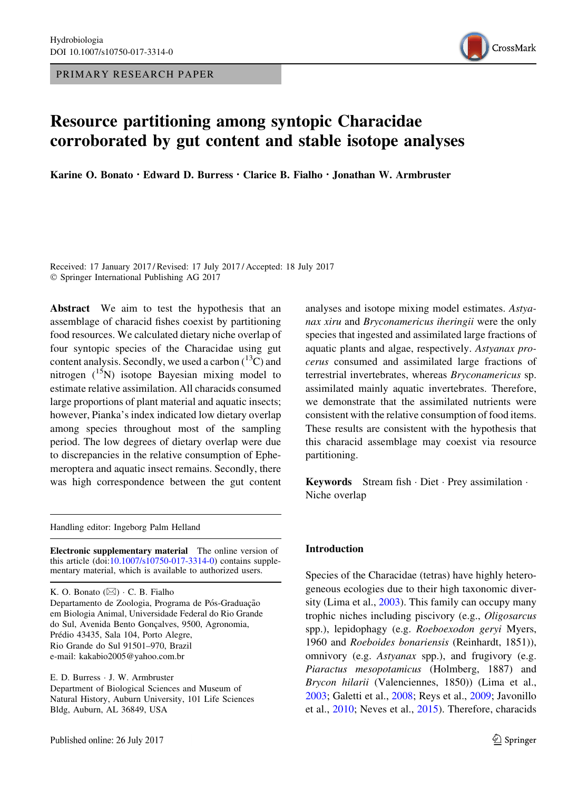PRIMARY RESEARCH PAPER



# Resource partitioning among syntopic Characidae corroborated by gut content and stable isotope analyses

Karine O. Bonato · Edward D. Burress · Clarice B. Fialho · Jonathan W. Armbruster

Received: 17 January 2017 / Revised: 17 July 2017 / Accepted: 18 July 2017 - Springer International Publishing AG 2017

Abstract We aim to test the hypothesis that an assemblage of characid fishes coexist by partitioning food resources. We calculated dietary niche overlap of four syntopic species of the Characidae using gut content analysis. Secondly, we used a carbon  $(^{13}C)$  and nitrogen  $({}^{15}N)$  isotope Bayesian mixing model to estimate relative assimilation. All characids consumed large proportions of plant material and aquatic insects; however, Pianka's index indicated low dietary overlap among species throughout most of the sampling period. The low degrees of dietary overlap were due to discrepancies in the relative consumption of Ephemeroptera and aquatic insect remains. Secondly, there was high correspondence between the gut content

Handling editor: Ingeborg Palm Helland

Electronic supplementary material The online version of this article (doi[:10.1007/s10750-017-3314-0\)](http://dx.doi.org/10.1007/s10750-017-3314-0) contains supplementary material, which is available to authorized users.

K. O. Bonato  $(\boxtimes) \cdot C$ . B. Fialho Departamento de Zoologia, Programa de Pós-Graduação em Biologia Animal, Universidade Federal do Rio Grande do Sul, Avenida Bento Gonçalves, 9500, Agronomia, Prédio 43435, Sala 104, Porto Alegre, Rio Grande do Sul 91501–970, Brazil e-mail: kakabio2005@yahoo.com.br

E. D. Burress - J. W. Armbruster Department of Biological Sciences and Museum of Natural History, Auburn University, 101 Life Sciences Bldg, Auburn, AL 36849, USA

analyses and isotope mixing model estimates. Astyanax xiru and Bryconamericus iheringii were the only species that ingested and assimilated large fractions of aquatic plants and algae, respectively. Astyanax procerus consumed and assimilated large fractions of terrestrial invertebrates, whereas Bryconamericus sp. assimilated mainly aquatic invertebrates. Therefore, we demonstrate that the assimilated nutrients were consistent with the relative consumption of food items. These results are consistent with the hypothesis that this characid assemblage may coexist via resource partitioning.

Keywords Stream fish · Diet · Prey assimilation · Niche overlap

#### Introduction

Species of the Characidae (tetras) have highly heterogeneous ecologies due to their high taxonomic diversity (Lima et al., [2003](#page-12-0)). This family can occupy many trophic niches including piscivory (e.g., Oligosarcus spp.), lepidophagy (e.g. Roeboexodon geryi Myers, 1960 and Roeboides bonariensis (Reinhardt, 1851)), omnivory (e.g. Astyanax spp.), and frugivory (e.g. Piaractus mesopotamicus (Holmberg, 1887) and Brycon hilarii (Valenciennes, 1850)) (Lima et al., [2003;](#page-12-0) Galetti et al., [2008](#page-11-0); Reys et al., [2009](#page-13-0); Javonillo et al., [2010](#page-12-0); Neves et al., [2015\)](#page-12-0). Therefore, characids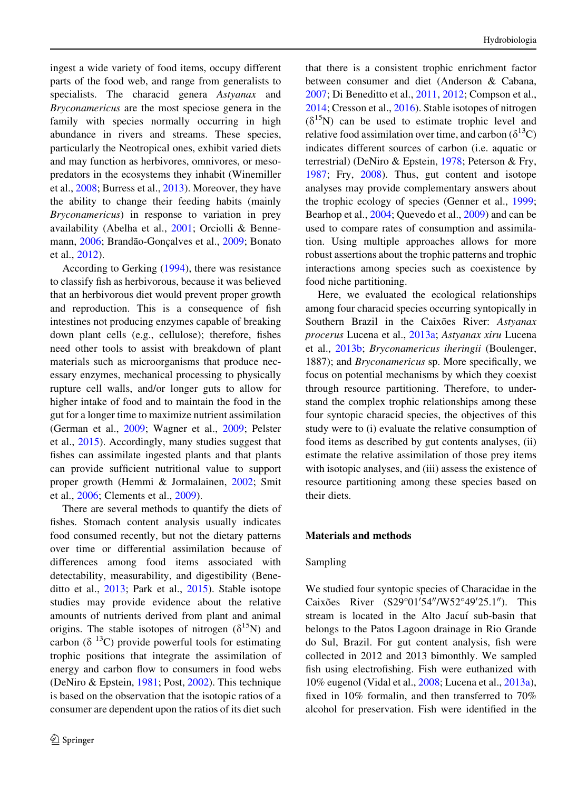ingest a wide variety of food items, occupy different parts of the food web, and range from generalists to specialists. The characid genera Astyanax and Bryconamericus are the most speciose genera in the family with species normally occurring in high abundance in rivers and streams. These species, particularly the Neotropical ones, exhibit varied diets and may function as herbivores, omnivores, or mesopredators in the ecosystems they inhabit (Winemiller et al., [2008;](#page-13-0) Burress et al., [2013\)](#page-11-0). Moreover, they have the ability to change their feeding habits (mainly Bryconamericus) in response to variation in prey availability (Abelha et al., [2001;](#page-11-0) Orciolli & Benne-mann, [2006](#page-12-0); Brandão-Gonçalves et al., [2009;](#page-11-0) Bonato et al., [2012\)](#page-11-0).

According to Gerking ([1994\)](#page-12-0), there was resistance to classify fish as herbivorous, because it was believed that an herbivorous diet would prevent proper growth and reproduction. This is a consequence of fish intestines not producing enzymes capable of breaking down plant cells (e.g., cellulose); therefore, fishes need other tools to assist with breakdown of plant materials such as microorganisms that produce necessary enzymes, mechanical processing to physically rupture cell walls, and/or longer guts to allow for higher intake of food and to maintain the food in the gut for a longer time to maximize nutrient assimilation (German et al., [2009](#page-12-0); Wagner et al., [2009;](#page-13-0) Pelster et al., [2015\)](#page-12-0). Accordingly, many studies suggest that fishes can assimilate ingested plants and that plants can provide sufficient nutritional value to support proper growth (Hemmi & Jormalainen, [2002](#page-12-0); Smit et al., [2006;](#page-13-0) Clements et al., [2009](#page-11-0)).

There are several methods to quantify the diets of fishes. Stomach content analysis usually indicates food consumed recently, but not the dietary patterns over time or differential assimilation because of differences among food items associated with detectability, measurability, and digestibility (Beneditto et al., [2013](#page-11-0); Park et al., [2015](#page-12-0)). Stable isotope studies may provide evidence about the relative amounts of nutrients derived from plant and animal origins. The stable isotopes of nitrogen ( $\delta^{15}$ N) and carbon ( $\delta$ <sup>13</sup>C) provide powerful tools for estimating trophic positions that integrate the assimilation of energy and carbon flow to consumers in food webs (DeNiro & Epstein, [1981;](#page-11-0) Post, [2002\)](#page-13-0). This technique is based on the observation that the isotopic ratios of a consumer are dependent upon the ratios of its diet such

that there is a consistent trophic enrichment factor between consumer and diet (Anderson & Cabana, [2007;](#page-11-0) Di Beneditto et al., [2011,](#page-11-0) [2012;](#page-11-0) Compson et al., [2014;](#page-11-0) Cresson et al., [2016](#page-11-0)). Stable isotopes of nitrogen  $(\delta^{15}N)$  can be used to estimate trophic level and relative food assimilation over time, and carbon  $(\delta^{13}C)$ indicates different sources of carbon (i.e. aquatic or terrestrial) (DeNiro & Epstein, [1978;](#page-11-0) Peterson & Fry, [1987;](#page-12-0) Fry, [2008](#page-11-0)). Thus, gut content and isotope analyses may provide complementary answers about the trophic ecology of species (Genner et al., [1999](#page-12-0); Bearhop et al., [2004](#page-11-0); Quevedo et al., [2009](#page-13-0)) and can be used to compare rates of consumption and assimilation. Using multiple approaches allows for more robust assertions about the trophic patterns and trophic interactions among species such as coexistence by food niche partitioning.

Here, we evaluated the ecological relationships among four characid species occurring syntopically in Southern Brazil in the Caixões River: Astyanax procerus Lucena et al., [2013a](#page-12-0); Astyanax xiru Lucena et al., [2013b;](#page-12-0) Bryconamericus iheringii (Boulenger, 1887); and Bryconamericus sp. More specifically, we focus on potential mechanisms by which they coexist through resource partitioning. Therefore, to understand the complex trophic relationships among these four syntopic characid species, the objectives of this study were to (i) evaluate the relative consumption of food items as described by gut contents analyses, (ii) estimate the relative assimilation of those prey items with isotopic analyses, and (iii) assess the existence of resource partitioning among these species based on their diets.

## Materials and methods

## Sampling

We studied four syntopic species of Characidae in the Caixões River (S29°01'54"/W52°49'25.1"). This stream is located in the Alto Jacuí sub-basin that belongs to the Patos Lagoon drainage in Rio Grande do Sul, Brazil. For gut content analysis, fish were collected in 2012 and 2013 bimonthly. We sampled fish using electrofishing. Fish were euthanized with 10% eugenol (Vidal et al., [2008](#page-13-0); Lucena et al., [2013a](#page-12-0)), fixed in 10% formalin, and then transferred to 70% alcohol for preservation. Fish were identified in the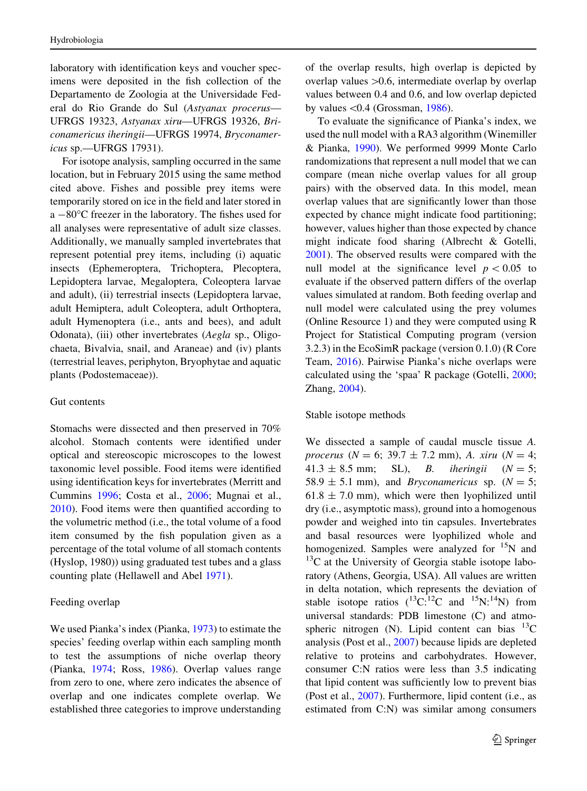laboratory with identification keys and voucher specimens were deposited in the fish collection of the Departamento de Zoologia at the Universidade Federal do Rio Grande do Sul (Astyanax procerus— UFRGS 19323, Astyanax xiru—UFRGS 19326, Briconamericus iheringii—UFRGS 19974, Bryconamericus sp.—UFRGS 17931).

For isotope analysis, sampling occurred in the same location, but in February 2015 using the same method cited above. Fishes and possible prey items were temporarily stored on ice in the field and later stored in  $a - 80^{\circ}$ C freezer in the laboratory. The fishes used for all analyses were representative of adult size classes. Additionally, we manually sampled invertebrates that represent potential prey items, including (i) aquatic insects (Ephemeroptera, Trichoptera, Plecoptera, Lepidoptera larvae, Megaloptera, Coleoptera larvae and adult), (ii) terrestrial insects (Lepidoptera larvae, adult Hemiptera, adult Coleoptera, adult Orthoptera, adult Hymenoptera (i.e., ants and bees), and adult Odonata), (iii) other invertebrates (Aegla sp., Oligochaeta, Bivalvia, snail, and Araneae) and (iv) plants (terrestrial leaves, periphyton, Bryophytae and aquatic plants (Podostemaceae)).

## Gut contents

Stomachs were dissected and then preserved in 70% alcohol. Stomach contents were identified under optical and stereoscopic microscopes to the lowest taxonomic level possible. Food items were identified using identification keys for invertebrates (Merritt and Cummins [1996](#page-12-0); Costa et al., [2006;](#page-11-0) Mugnai et al., [2010\)](#page-12-0). Food items were then quantified according to the volumetric method (i.e., the total volume of a food item consumed by the fish population given as a percentage of the total volume of all stomach contents (Hyslop, 1980)) using graduated test tubes and a glass counting plate (Hellawell and Abel [1971](#page-12-0)).

#### Feeding overlap

We used Pianka's index (Pianka, [1973](#page-13-0)) to estimate the species' feeding overlap within each sampling month to test the assumptions of niche overlap theory (Pianka, [1974](#page-13-0); Ross, [1986](#page-13-0)). Overlap values range from zero to one, where zero indicates the absence of overlap and one indicates complete overlap. We established three categories to improve understanding of the overlap results, high overlap is depicted by overlap values  $>0.6$ , intermediate overlap by overlap values between 0.4 and 0.6, and low overlap depicted by values  $< 0.4$  (Grossman, [1986\)](#page-12-0).

To evaluate the significance of Pianka's index, we used the null model with a RA3 algorithm (Winemiller & Pianka, [1990](#page-13-0)). We performed 9999 Monte Carlo randomizations that represent a null model that we can compare (mean niche overlap values for all group pairs) with the observed data. In this model, mean overlap values that are significantly lower than those expected by chance might indicate food partitioning; however, values higher than those expected by chance might indicate food sharing (Albrecht & Gotelli, [2001\)](#page-11-0). The observed results were compared with the null model at the significance level  $p < 0.05$  to evaluate if the observed pattern differs of the overlap values simulated at random. Both feeding overlap and null model were calculated using the prey volumes (Online Resource 1) and they were computed using R Project for Statistical Computing program (version 3.2.3) in the EcoSimR package (version 0.1.0) (R Core Team, [2016\)](#page-13-0). Pairwise Pianka's niche overlaps were calculated using the 'spaa' R package (Gotelli, [2000](#page-12-0); Zhang, [2004\)](#page-13-0).

#### Stable isotope methods

We dissected a sample of caudal muscle tissue A. procerus ( $N = 6$ ; 39.7  $\pm$  7.2 mm), A. xiru ( $N = 4$ ;  $41.3 \pm 8.5$  mm; SL), B. *iheringii* ( $N = 5$ ; 58.9  $\pm$  5.1 mm), and *Bryconamericus* sp. ( $N = 5$ ;  $61.8 \pm 7.0$  mm), which were then lyophilized until dry (i.e., asymptotic mass), ground into a homogenous powder and weighed into tin capsules. Invertebrates and basal resources were lyophilized whole and homogenized. Samples were analyzed for  $15N$  and  $13^{\circ}$ C at the University of Georgia stable isotope laboratory (Athens, Georgia, USA). All values are written in delta notation, which represents the deviation of stable isotope ratios  $(^{13}C^{12}C$  and  $^{15}N^{14}N$ ) from universal standards: PDB limestone (C) and atmospheric nitrogen (N). Lipid content can bias  $^{13}$ C analysis (Post et al., [2007\)](#page-13-0) because lipids are depleted relative to proteins and carbohydrates. However, consumer C:N ratios were less than 3.5 indicating that lipid content was sufficiently low to prevent bias (Post et al., [2007](#page-13-0)). Furthermore, lipid content (i.e., as estimated from C:N) was similar among consumers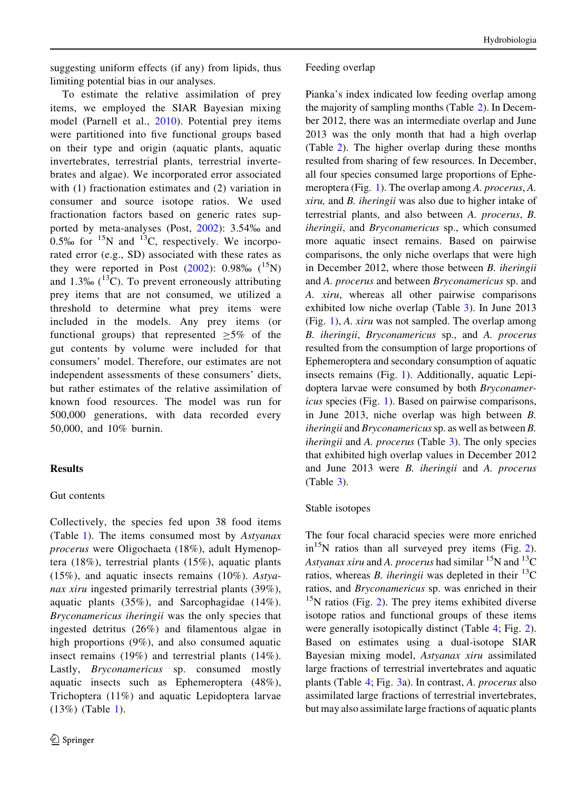suggesting uniform effects (if any) from lipids, thus limiting potential bias in our analyses.

To estimate the relative assimilation of prey items, we employed the SIAR Bayesian mixing model (Parnell et al., [2010\)](#page-12-0). Potential prey items were partitioned into five functional groups based on their type and origin (aquatic plants, aquatic invertebrates, terrestrial plants, terrestrial invertebrates and algae). We incorporated error associated with (1) fractionation estimates and (2) variation in consumer and source isotope ratios. We used fractionation factors based on generic rates supported by meta-analyses (Post, [2002\)](#page-13-0): 3.54% and  $0.5\%$  for  $15N$  and  $13C$ , respectively. We incorporated error (e.g., SD) associated with these rates as they were reported in Post  $(2002)$  $(2002)$  $(2002)$ : 0.98%  $(^{15}N)$ and 1.3‰  $(^{13}C)$ . To prevent erroneously attributing prey items that are not consumed, we utilized a threshold to determine what prey items were included in the models. Any prey items (or functional groups) that represented  $\geq 5\%$  of the gut contents by volume were included for that consumers' model. Therefore, our estimates are not independent assessments of these consumers' diets, but rather estimates of the relative assimilation of known food resources. The model was run for 500,000 generations, with data recorded every 50,000, and 10% burnin.

## **Results**

## Gut contents

Collectively, the species fed upon 38 food items (Table [1\)](#page-4-0). The items consumed most by Astyanax procerus were Oligochaeta (18%), adult Hymenoptera (18%), terrestrial plants (15%), aquatic plants  $(15\%)$ , and aquatic insects remains  $(10\%)$ . Astyanax xiru ingested primarily terrestrial plants (39%), aquatic plants (35%), and Sarcophagidae (14%). Bryconamericus iheringii was the only species that ingested detritus (26%) and filamentous algae in high proportions (9%), and also consumed aquatic insect remains (19%) and terrestrial plants (14%). Lastly, Bryconamericus sp. consumed mostly aquatic insects such as Ephemeroptera (48%), Trichoptera (11%) and aquatic Lepidoptera larvae (13%) (Table [1](#page-4-0)).

## Feeding overlap

Pianka's index indicated low feeding overlap among the majority of sampling months (Table [2](#page-5-0)). In December 2012, there was an intermediate overlap and June 2013 was the only month that had a high overlap (Table [2](#page-5-0)). The higher overlap during these months resulted from sharing of few resources. In December, all four species consumed large proportions of Ephemeroptera (Fig. [1\)](#page-6-0). The overlap among A. procerus, A. xiru, and B. iheringii was also due to higher intake of terrestrial plants, and also between A. procerus, B. iheringii, and Bryconamericus sp., which consumed more aquatic insect remains. Based on pairwise comparisons, the only niche overlaps that were high in December 2012, where those between B. iheringii and A. procerus and between Bryconamericus sp. and A. xiru, whereas all other pairwise comparisons exhibited low niche overlap (Table [3](#page-6-0)). In June 2013 (Fig. [1](#page-6-0)), A. xiru was not sampled. The overlap among B. iheringii, Bryconamericus sp., and A. procerus resulted from the consumption of large proportions of Ephemeroptera and secondary consumption of aquatic insects remains (Fig. [1\)](#page-6-0). Additionally, aquatic Lepidoptera larvae were consumed by both Bryconamericus species (Fig. [1\)](#page-6-0). Based on pairwise comparisons, in June 2013, niche overlap was high between B. iheringii and Bryconamericus sp. as well as between B. iheringii and A. procerus (Table [3\)](#page-6-0). The only species that exhibited high overlap values in December 2012 and June 2013 were B. iheringii and A. procerus (Table [3](#page-6-0)).

## Stable isotopes

The four focal characid species were more enriched  $in^{15}N$  ratios than all surveyed prey items (Fig. [2](#page-7-0)). Astyanax xiru and A. procerus had similar  ${}^{15}N$  and  ${}^{13}C$ ratios, whereas *B*, *iheringii* was depleted in their  $^{13}$ C ratios, and Bryconamericus sp. was enriched in their  $15$ N ratios (Fig. [2](#page-7-0)). The prey items exhibited diverse isotope ratios and functional groups of these items were generally isotopically distinct (Table [4;](#page-7-0) Fig. [2](#page-7-0)). Based on estimates using a dual-isotope SIAR Bayesian mixing model, Astyanax xiru assimilated large fractions of terrestrial invertebrates and aquatic plants (Table [4;](#page-7-0) Fig. [3](#page-8-0)a). In contrast, A. procerus also assimilated large fractions of terrestrial invertebrates, but may also assimilate large fractions of aquatic plants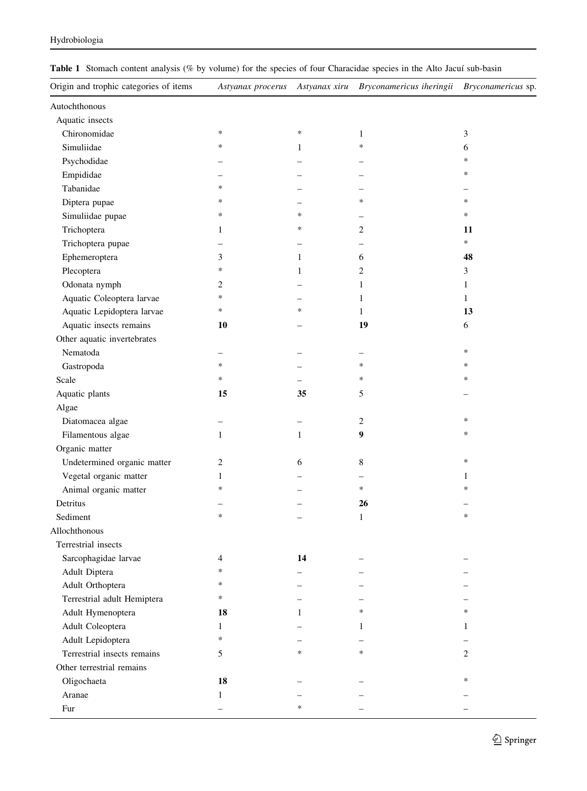| Origin and trophic categories of items | Astyanax procerus        | Astyanax xiru | Bryconamericus iheringii | <i>Bryconamericus</i> sp. |
|----------------------------------------|--------------------------|---------------|--------------------------|---------------------------|
| Autochthonous                          |                          |               |                          |                           |
| Aquatic insects                        |                          |               |                          |                           |
| Chironomidae                           | $\ast$                   | $\ast$        | $\mathbf{1}$             | 3                         |
| Simuliidae                             | $\ast$                   | $\mathbf{1}$  | *                        | 6                         |
| Psychodidae                            |                          |               |                          | *                         |
| Empididae                              |                          |               |                          | *                         |
| Tabanidae                              | $\ast$                   |               |                          |                           |
| Diptera pupae                          | $\ast$                   |               | *                        | *                         |
| Simuliidae pupae                       | $\ast$                   | $\ast$        | -                        | *                         |
| Trichoptera                            | $\mathbf{1}$             | $\ast$        | $\overline{c}$           | 11                        |
| Trichoptera pupae                      | $\overline{\phantom{0}}$ |               | <u>.</u>                 | $\ast$                    |
| Ephemeroptera                          | 3                        | $\mathbf{1}$  | 6                        | 48                        |
| Plecoptera                             | $\ast$                   | 1             | $\mathfrak{2}$           | 3                         |
| Odonata nymph                          | $\overline{2}$           |               | $\mathbf{1}$             | $\mathbf{1}$              |
| Aquatic Coleoptera larvae              | $\ast$                   |               | $\mathbf{1}$             | $\mathbf{1}$              |
| Aquatic Lepidoptera larvae             | $\ast$                   | ∗             | $\mathbf{1}$             | 13                        |
| Aquatic insects remains                | 10                       |               | 19                       | 6                         |
| Other aquatic invertebrates            |                          |               |                          |                           |
| Nematoda                               |                          |               |                          | $\ast$                    |
| Gastropoda                             | $\ast$                   |               | *                        | *                         |
| Scale                                  | $\ast$                   |               | $\ast$                   | *                         |
| Aquatic plants                         | 15                       | 35            | 5                        |                           |
| Algae                                  |                          |               |                          |                           |
| Diatomacea algae                       | -                        | -             | 2                        | *                         |
| Filamentous algae                      | $\mathbf{1}$             | $\mathbf{1}$  | 9                        | *                         |
| Organic matter                         |                          |               |                          |                           |
| Undetermined organic matter            | $\overline{c}$           | 6             | 8                        | *                         |
| Vegetal organic matter                 | $\mathbf{1}$             |               |                          | $\mathbf{1}$              |
| Animal organic matter                  | $\ast$                   |               | $\ast$                   | *                         |
| Detritus                               | ÷                        |               | 26                       |                           |
| Sediment                               | $\ast$                   |               | $\mathbf{1}$             | $\ast$                    |
| Allochthonous                          |                          |               |                          |                           |
| Terrestrial insects                    |                          |               |                          |                           |
| Sarcophagidae larvae                   | 4                        | 14            |                          |                           |
| Adult Diptera                          | $\ast$                   |               |                          |                           |
| Adult Orthoptera                       | $\ast$                   |               |                          |                           |
| Terrestrial adult Hemiptera            | $\ast$                   |               |                          |                           |
| Adult Hymenoptera                      | 18                       | 1             | $\ast$                   | *                         |
| Adult Coleoptera                       | $\mathbf{1}$             |               | 1                        | 1                         |
| Adult Lepidoptera                      | $\ast$                   |               |                          |                           |
| Terrestrial insects remains            | 5                        | ∗             | *                        | $\mathbf{2}$              |
| Other terrestrial remains              |                          |               |                          |                           |
| Oligochaeta                            | 18                       |               |                          | $\ast$                    |
| Aranae                                 | $\mathbf{1}$             |               |                          |                           |

Fur  $+$   $-$ 

<span id="page-4-0"></span>Table 1 Stomach content analysis (% by volume) for the species of four Characidae species in the Alto Jacuí sub-basin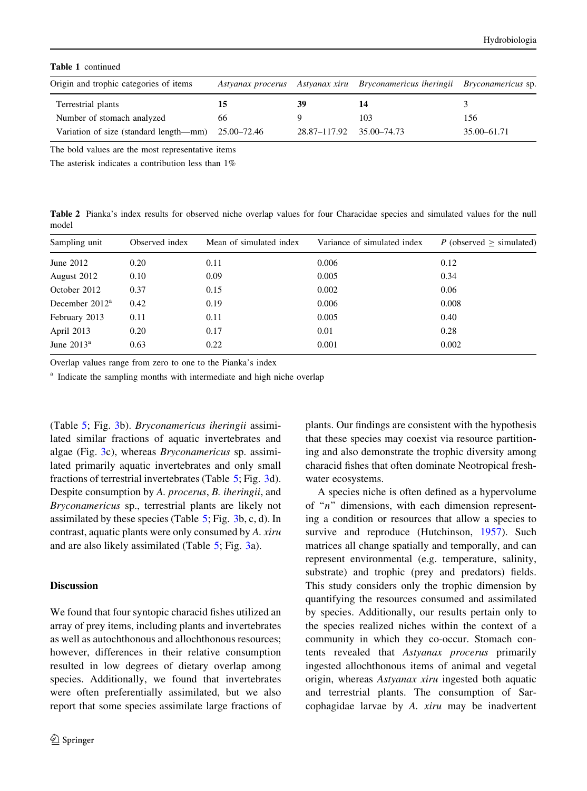<span id="page-5-0"></span>Table 1 continued

| Origin and trophic categories of items             |    |                          | Astyanax procerus Astyanax xiru Bryconamericus iheringii Bryconamericus sp. |             |
|----------------------------------------------------|----|--------------------------|-----------------------------------------------------------------------------|-------------|
| Terrestrial plants                                 | 15 | 39                       |                                                                             |             |
| Number of stomach analyzed                         | 66 |                          | 103                                                                         | 156         |
| Variation of size (standard length—mm) 25.00–72.46 |    | 28.87-117.92 35.00-74.73 |                                                                             | 35.00–61.71 |

The bold values are the most representative items

The asterisk indicates a contribution less than 1%

Table 2 Pianka's index results for observed niche overlap values for four Characidae species and simulated values for the null model

| Sampling unit     | Observed index | Mean of simulated index | Variance of simulated index | P (observed $\ge$ simulated) |
|-------------------|----------------|-------------------------|-----------------------------|------------------------------|
| June $2012$       | 0.20           | 0.11                    | 0.006                       | 0.12                         |
| August 2012       | 0.10           | 0.09                    | 0.005                       | 0.34                         |
| October 2012      | 0.37           | 0.15                    | 0.002                       | 0.06                         |
| December $2012^a$ | 0.42           | 0.19                    | 0.006                       | 0.008                        |
| February 2013     | 0.11           | 0.11                    | 0.005                       | 0.40                         |
| April 2013        | 0.20           | 0.17                    | 0.01                        | 0.28                         |
| June $2013^a$     | 0.63           | 0.22                    | 0.001                       | 0.002                        |

Overlap values range from zero to one to the Pianka's index

<sup>a</sup> Indicate the sampling months with intermediate and high niche overlap

(Table [5](#page-8-0); Fig. [3b](#page-8-0)). Bryconamericus iheringii assimilated similar fractions of aquatic invertebrates and algae (Fig. [3c](#page-8-0)), whereas Bryconamericus sp. assimilated primarily aquatic invertebrates and only small fractions of terrestrial invertebrates (Table [5;](#page-8-0) Fig. [3](#page-8-0)d). Despite consumption by A. procerus, B. iheringii, and Bryconamericus sp., terrestrial plants are likely not assimilated by these species (Table [5;](#page-8-0) Fig. [3b](#page-8-0), c, d). In contrast, aquatic plants were only consumed by A. xiru and are also likely assimilated (Table [5;](#page-8-0) Fig. [3a](#page-8-0)).

#### **Discussion**

We found that four syntopic characid fishes utilized an array of prey items, including plants and invertebrates as well as autochthonous and allochthonous resources; however, differences in their relative consumption resulted in low degrees of dietary overlap among species. Additionally, we found that invertebrates were often preferentially assimilated, but we also report that some species assimilate large fractions of plants. Our findings are consistent with the hypothesis that these species may coexist via resource partitioning and also demonstrate the trophic diversity among characid fishes that often dominate Neotropical freshwater ecosystems.

A species niche is often defined as a hypervolume of " $n$ " dimensions, with each dimension representing a condition or resources that allow a species to survive and reproduce (Hutchinson, [1957\)](#page-12-0). Such matrices all change spatially and temporally, and can represent environmental (e.g. temperature, salinity, substrate) and trophic (prey and predators) fields. This study considers only the trophic dimension by quantifying the resources consumed and assimilated by species. Additionally, our results pertain only to the species realized niches within the context of a community in which they co-occur. Stomach contents revealed that Astyanax procerus primarily ingested allochthonous items of animal and vegetal origin, whereas Astyanax xiru ingested both aquatic and terrestrial plants. The consumption of Sarcophagidae larvae by A. xiru may be inadvertent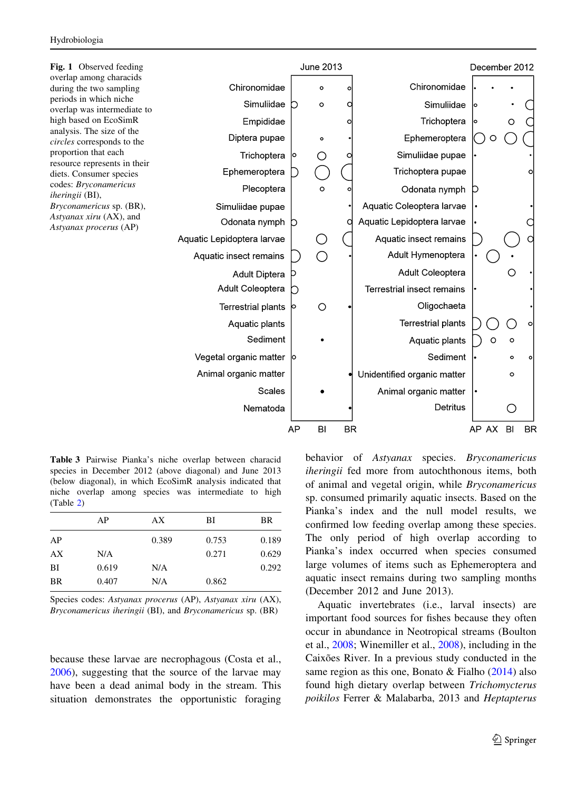<span id="page-6-0"></span>

Table 3 Pairwise Pianka's niche overlap between characid species in December 2012 (above diagonal) and June 2013 (below diagonal), in which EcoSimR analysis indicated that niche overlap among species was intermediate to high (Table [2](#page-5-0))

|    | AP    | AX    | ВI    | BR    |
|----|-------|-------|-------|-------|
| AP |       | 0.389 | 0.753 | 0.189 |
| AX | N/A   |       | 0.271 | 0.629 |
| BI | 0.619 | N/A   |       | 0.292 |
| BR | 0.407 | N/A   | 0.862 |       |
|    |       |       |       |       |

Species codes: Astyanax procerus (AP), Astyanax xiru (AX), Bryconamericus iheringii (BI), and Bryconamericus sp. (BR)

because these larvae are necrophagous (Costa et al., [2006\)](#page-11-0), suggesting that the source of the larvae may have been a dead animal body in the stream. This situation demonstrates the opportunistic foraging behavior of Astyanax species. Bryconamericus iheringii fed more from autochthonous items, both of animal and vegetal origin, while Bryconamericus sp. consumed primarily aquatic insects. Based on the Pianka's index and the null model results, we confirmed low feeding overlap among these species. The only period of high overlap according to Pianka's index occurred when species consumed large volumes of items such as Ephemeroptera and aquatic insect remains during two sampling months (December 2012 and June 2013).

Aquatic invertebrates (i.e., larval insects) are important food sources for fishes because they often occur in abundance in Neotropical streams (Boulton et al., [2008;](#page-11-0) Winemiller et al., [2008\)](#page-13-0), including in the Caixões River. In a previous study conducted in the same region as this one, Bonato & Fialho [\(2014](#page-11-0)) also found high dietary overlap between Trichomycterus poikilos Ferrer & Malabarba, 2013 and Heptapterus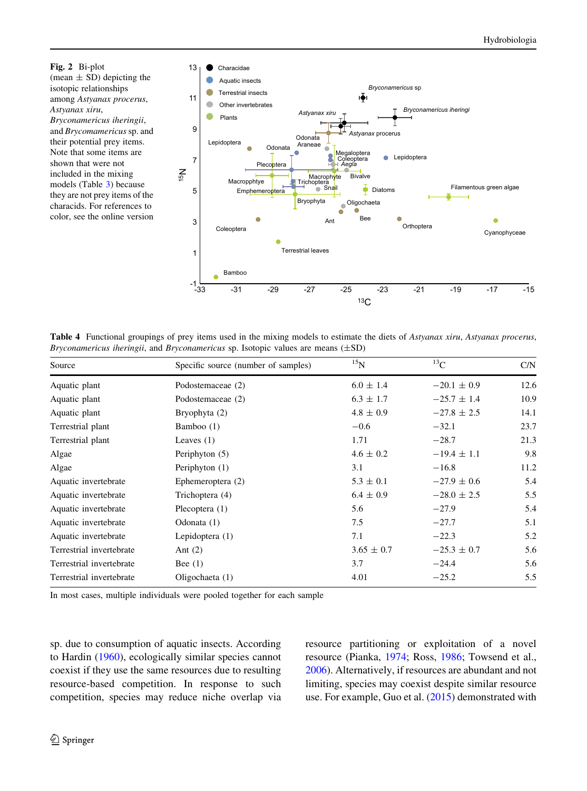<span id="page-7-0"></span>Fig. 2 Bi-plot (mean  $\pm$  SD) depicting the isotopic relationships among Astyanax procerus, Astyanax xiru, Bryconamericus iheringii, and Brycomamericus sp. and their potential prey items. Note that some items are shown that were not included in the mixing models (Table [3\)](#page-6-0) because they are not prey items of the characids. For references to color, see the online version



Table 4 Functional groupings of prey items used in the mixing models to estimate the diets of Astyanax xiru, Astyanax procerus, Bryconamericus iheringii, and Bryconamericus sp. Isotopic values are means  $(\pm SD)$ 

| Source                   | Specific source (number of samples) | $^{15}$ N      | $^{13}$ C       | C/N  |
|--------------------------|-------------------------------------|----------------|-----------------|------|
| Aquatic plant            | Podostemaceae (2)                   | $6.0 \pm 1.4$  | $-20.1 \pm 0.9$ | 12.6 |
| Aquatic plant            | Podostemaceae (2)                   | $6.3 \pm 1.7$  | $-25.7 \pm 1.4$ | 10.9 |
| Aquatic plant            | Bryophyta (2)                       | $4.8 \pm 0.9$  | $-27.8 \pm 2.5$ | 14.1 |
| Terrestrial plant        | Bamboo (1)                          | $-0.6$         | $-32.1$         | 23.7 |
| Terrestrial plant        | Leaves $(1)$                        | 1.71           | $-28.7$         | 21.3 |
| Algae                    | Periphyton (5)                      | $4.6 \pm 0.2$  | $-19.4 \pm 1.1$ | 9.8  |
| Algae                    | Periphyton (1)                      | 3.1            | $-16.8$         | 11.2 |
| Aquatic invertebrate     | Ephemeroptera (2)                   | $5.3 \pm 0.1$  | $-27.9 \pm 0.6$ | 5.4  |
| Aquatic invertebrate     | Trichoptera (4)                     | $6.4 \pm 0.9$  | $-28.0 \pm 2.5$ | 5.5  |
| Aquatic invertebrate     | Plecoptera $(1)$                    | 5.6            | $-27.9$         | 5.4  |
| Aquatic invertebrate     | Odonata (1)                         | 7.5            | $-27.7$         | 5.1  |
| Aquatic invertebrate     | Lepidoptera $(1)$                   | 7.1            | $-22.3$         | 5.2  |
| Terrestrial invertebrate | Ant $(2)$                           | $3.65 \pm 0.7$ | $-25.3 \pm 0.7$ | 5.6  |
| Terrestrial invertebrate | Bee $(1)$                           | 3.7            | $-24.4$         | 5.6  |
| Terrestrial invertebrate | Oligochaeta (1)                     | 4.01           | $-25.2$         | 5.5  |

In most cases, multiple individuals were pooled together for each sample

sp. due to consumption of aquatic insects. According to Hardin ([1960\)](#page-12-0), ecologically similar species cannot coexist if they use the same resources due to resulting resource-based competition. In response to such competition, species may reduce niche overlap via resource partitioning or exploitation of a novel resource (Pianka, [1974;](#page-13-0) Ross, [1986;](#page-13-0) Towsend et al., [2006\)](#page-13-0). Alternatively, if resources are abundant and not limiting, species may coexist despite similar resource use. For example, Guo et al. [\(2015](#page-12-0)) demonstrated with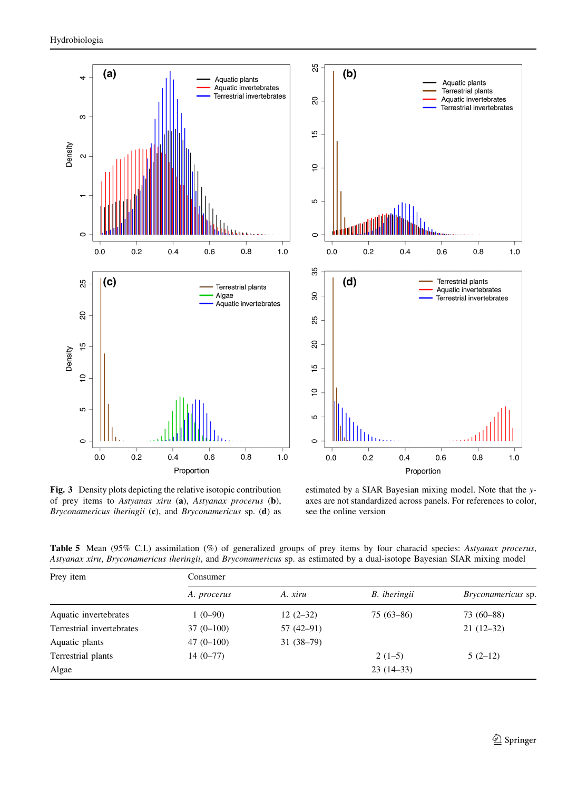<span id="page-8-0"></span>

Fig. 3 Density plots depicting the relative isotopic contribution of prey items to Astyanax xiru (a), Astyanax procerus (b), Bryconamericus iheringii (c), and Bryconamericus sp. (d) as



estimated by a SIAR Bayesian mixing model. Note that the yaxes are not standardized across panels. For references to color, see the online version

Table 5 Mean (95% C.I.) assimilation (%) of generalized groups of prey items by four characid species: Astyanax procerus, Astyanax xiru, Bryconamericus iheringii, and Bryconamericus sp. as estimated by a dual-isotope Bayesian SIAR mixing model

| Prey item                 | Consumer    |             |               |                           |  |
|---------------------------|-------------|-------------|---------------|---------------------------|--|
|                           | A. procerus | A. xiru     | B. iheringii  | <i>Bryconamericus</i> sp. |  |
| Aquatic invertebrates     | $1(0-90)$   | $12(2-32)$  | $75(63 - 86)$ | 73 (60-88)                |  |
| Terrestrial invertebrates | $37(0-100)$ | $57(42-91)$ |               | $21(12-32)$               |  |
| Aquatic plants            | $47(0-100)$ | $31(38-79)$ |               |                           |  |
| Terrestrial plants        | $14(0-77)$  |             | $2(1-5)$      | $5(2-12)$                 |  |
| Algae                     |             |             | $23(14-33)$   |                           |  |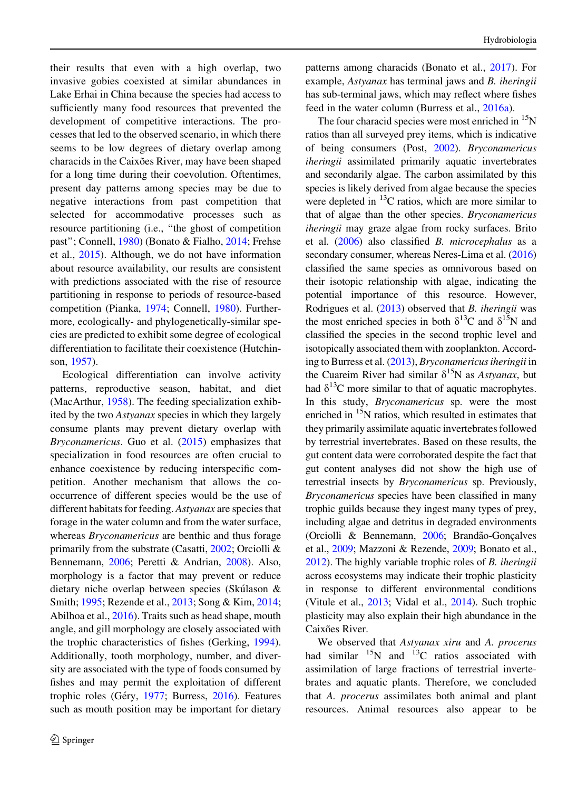their results that even with a high overlap, two invasive gobies coexisted at similar abundances in Lake Erhai in China because the species had access to sufficiently many food resources that prevented the development of competitive interactions. The processes that led to the observed scenario, in which there seems to be low degrees of dietary overlap among characids in the Caixões River, may have been shaped for a long time during their coevolution. Oftentimes, present day patterns among species may be due to negative interactions from past competition that selected for accommodative processes such as resource partitioning (i.e., ''the ghost of competition past''; Connell, [1980\)](#page-11-0) (Bonato & Fialho, [2014;](#page-11-0) Frehse et al., [2015\)](#page-11-0). Although, we do not have information about resource availability, our results are consistent with predictions associated with the rise of resource partitioning in response to periods of resource-based competition (Pianka, [1974](#page-13-0); Connell, [1980\)](#page-11-0). Furthermore, ecologically- and phylogenetically-similar species are predicted to exhibit some degree of ecological differentiation to facilitate their coexistence (Hutchinson, [1957\)](#page-12-0).

Ecological differentiation can involve activity patterns, reproductive season, habitat, and diet (MacArthur, [1958\)](#page-12-0). The feeding specialization exhibited by the two Astyanax species in which they largely consume plants may prevent dietary overlap with Bryconamericus. Guo et al. [\(2015](#page-12-0)) emphasizes that specialization in food resources are often crucial to enhance coexistence by reducing interspecific competition. Another mechanism that allows the cooccurrence of different species would be the use of different habitats for feeding. Astyanax are species that forage in the water column and from the water surface, whereas Bryconamericus are benthic and thus forage primarily from the substrate (Casatti, [2002](#page-11-0); Orciolli & Bennemann, [2006](#page-12-0); Peretti & Andrian, [2008\)](#page-12-0). Also, morphology is a factor that may prevent or reduce dietary niche overlap between species (Skúlason  $\&$ Smith; [1995](#page-13-0); Rezende et al., [2013](#page-13-0); Song & Kim, [2014](#page-13-0); Abilhoa et al., [2016\)](#page-11-0). Traits such as head shape, mouth angle, and gill morphology are closely associated with the trophic characteristics of fishes (Gerking, [1994](#page-12-0)). Additionally, tooth morphology, number, and diversity are associated with the type of foods consumed by fishes and may permit the exploitation of different trophic roles (Géry, [1977;](#page-12-0) Burress, [2016](#page-11-0)). Features such as mouth position may be important for dietary patterns among characids (Bonato et al., [2017\)](#page-11-0). For example, Astyanax has terminal jaws and B. iheringii has sub-terminal jaws, which may reflect where fishes feed in the water column (Burress et al., [2016a\)](#page-11-0).

The four characid species were most enriched in  $\mathrm{^{15}N}$ ratios than all surveyed prey items, which is indicative of being consumers (Post, [2002](#page-13-0)). Bryconamericus iheringii assimilated primarily aquatic invertebrates and secondarily algae. The carbon assimilated by this species is likely derived from algae because the species were depleted in  ${}^{13}$ C ratios, which are more similar to that of algae than the other species. Bryconamericus iheringii may graze algae from rocky surfaces. Brito et al. [\(2006\)](#page-11-0) also classified B. microcephalus as a secondary consumer, whereas Neres-Lima et al. [\(2016\)](#page-12-0) classified the same species as omnivorous based on their isotopic relationship with algae, indicating the potential importance of this resource. However, Rodrigues et al. [\(2013\)](#page-13-0) observed that B. iheringii was the most enriched species in both  $\delta^{13}$ C and  $\delta^{15}$ N and classified the species in the second trophic level and isotopically associated them with zooplankton. According to Burress et al. [\(2013\)](#page-11-0), Bryconamericus iheringii in the Cuareim River had similar  $\delta^{15}N$  as Astyanax, but had  $\delta^{13}$ C more similar to that of aquatic macrophytes. In this study, Bryconamericus sp. were the most enriched in  $15N$  ratios, which resulted in estimates that they primarily assimilate aquatic invertebrates followed by terrestrial invertebrates. Based on these results, the gut content data were corroborated despite the fact that gut content analyses did not show the high use of terrestrial insects by Bryconamericus sp. Previously, Bryconamericus species have been classified in many trophic guilds because they ingest many types of prey, including algae and detritus in degraded environments (Orciolli & Bennemann,  $2006$ ; Brandão-Gonçalves et al., [2009](#page-11-0); Mazzoni & Rezende, [2009](#page-12-0); Bonato et al., [2012](#page-11-0)). The highly variable trophic roles of B. iheringii across ecosystems may indicate their trophic plasticity in response to different environmental conditions (Vitule et al., [2013](#page-13-0); Vidal et al., [2014\)](#page-13-0). Such trophic plasticity may also explain their high abundance in the Caixões River.

We observed that Astyanax xiru and A. procerus had similar  $^{15}N$  and  $^{13}C$  ratios associated with assimilation of large fractions of terrestrial invertebrates and aquatic plants. Therefore, we concluded that A. procerus assimilates both animal and plant resources. Animal resources also appear to be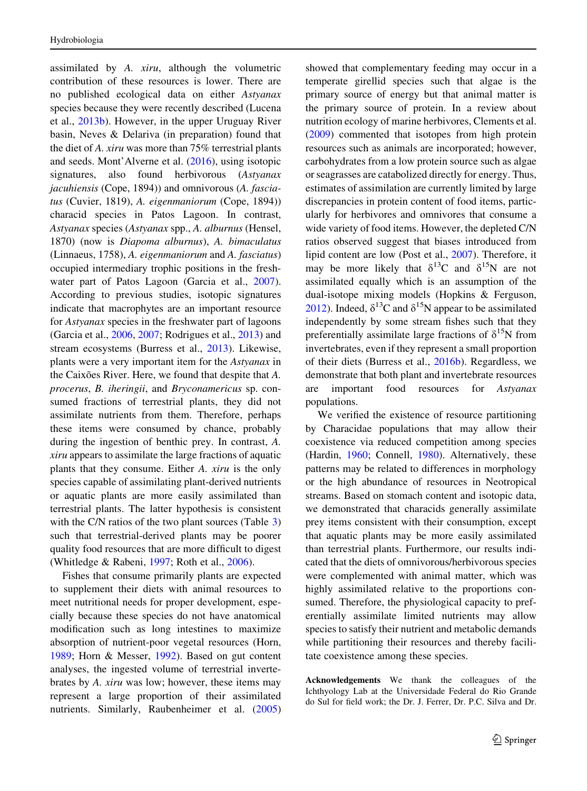assimilated by A. xiru, although the volumetric contribution of these resources is lower. There are no published ecological data on either Astyanax species because they were recently described (Lucena et al., [2013b\)](#page-12-0). However, in the upper Uruguay River basin, Neves & Delariva (in preparation) found that the diet of A. xiru was more than 75% terrestrial plants and seeds. Mont'Alverne et al. [\(2016](#page-12-0)), using isotopic signatures, also found herbivorous (Astyanax jacuhiensis (Cope, 1894)) and omnivorous (A. fasciatus (Cuvier, 1819), A. eigenmaniorum (Cope, 1894)) characid species in Patos Lagoon. In contrast, Astyanax species (Astyanax spp., A. alburnus (Hensel, 1870) (now is Diapoma alburnus), A. bimaculatus (Linnaeus, 1758), A. eigenmaniorum and A. fasciatus) occupied intermediary trophic positions in the fresh-water part of Patos Lagoon (Garcia et al., [2007](#page-12-0)). According to previous studies, isotopic signatures indicate that macrophytes are an important resource for Astyanax species in the freshwater part of lagoons (Garcia et al., [2006,](#page-12-0) [2007;](#page-12-0) Rodrigues et al., [2013\)](#page-13-0) and stream ecosystems (Burress et al., [2013](#page-11-0)). Likewise, plants were a very important item for the Astyanax in the Caixões River. Here, we found that despite that A. procerus, B. iheringii, and Bryconamericus sp. consumed fractions of terrestrial plants, they did not assimilate nutrients from them. Therefore, perhaps these items were consumed by chance, probably during the ingestion of benthic prey. In contrast, A. xiru appears to assimilate the large fractions of aquatic plants that they consume. Either A. xiru is the only species capable of assimilating plant-derived nutrients or aquatic plants are more easily assimilated than terrestrial plants. The latter hypothesis is consistent with the C/N ratios of the two plant sources (Table [3\)](#page-6-0) such that terrestrial-derived plants may be poorer quality food resources that are more difficult to digest (Whitledge & Rabeni, [1997;](#page-13-0) Roth et al., [2006\)](#page-13-0).

Fishes that consume primarily plants are expected to supplement their diets with animal resources to meet nutritional needs for proper development, especially because these species do not have anatomical modification such as long intestines to maximize absorption of nutrient-poor vegetal resources (Horn, [1989;](#page-12-0) Horn & Messer, [1992](#page-12-0)). Based on gut content analyses, the ingested volume of terrestrial invertebrates by A. xiru was low; however, these items may represent a large proportion of their assimilated nutrients. Similarly, Raubenheimer et al. ([2005\)](#page-13-0) showed that complementary feeding may occur in a temperate girellid species such that algae is the primary source of energy but that animal matter is the primary source of protein. In a review about nutrition ecology of marine herbivores, Clements et al. [\(2009](#page-11-0)) commented that isotopes from high protein resources such as animals are incorporated; however, carbohydrates from a low protein source such as algae or seagrasses are catabolized directly for energy. Thus, estimates of assimilation are currently limited by large discrepancies in protein content of food items, particularly for herbivores and omnivores that consume a wide variety of food items. However, the depleted C/N ratios observed suggest that biases introduced from lipid content are low (Post et al., [2007\)](#page-13-0). Therefore, it may be more likely that  $\delta^{13}$ C and  $\delta^{15}$ N are not assimilated equally which is an assumption of the dual-isotope mixing models (Hopkins & Ferguson, [2012\)](#page-12-0). Indeed,  $\delta^{13}$ C and  $\delta^{15}$ N appear to be assimilated independently by some stream fishes such that they preferentially assimilate large fractions of  $\delta^{15}N$  from invertebrates, even if they represent a small proportion of their diets (Burress et al., [2016b\)](#page-11-0). Regardless, we demonstrate that both plant and invertebrate resources are important food resources for Astyanax populations.

We verified the existence of resource partitioning by Characidae populations that may allow their coexistence via reduced competition among species (Hardin, [1960](#page-12-0); Connell, [1980](#page-11-0)). Alternatively, these patterns may be related to differences in morphology or the high abundance of resources in Neotropical streams. Based on stomach content and isotopic data, we demonstrated that characids generally assimilate prey items consistent with their consumption, except that aquatic plants may be more easily assimilated than terrestrial plants. Furthermore, our results indicated that the diets of omnivorous/herbivorous species were complemented with animal matter, which was highly assimilated relative to the proportions consumed. Therefore, the physiological capacity to preferentially assimilate limited nutrients may allow species to satisfy their nutrient and metabolic demands while partitioning their resources and thereby facilitate coexistence among these species.

Acknowledgements We thank the colleagues of the Ichthyology Lab at the Universidade Federal do Rio Grande do Sul for field work; the Dr. J. Ferrer, Dr. P.C. Silva and Dr.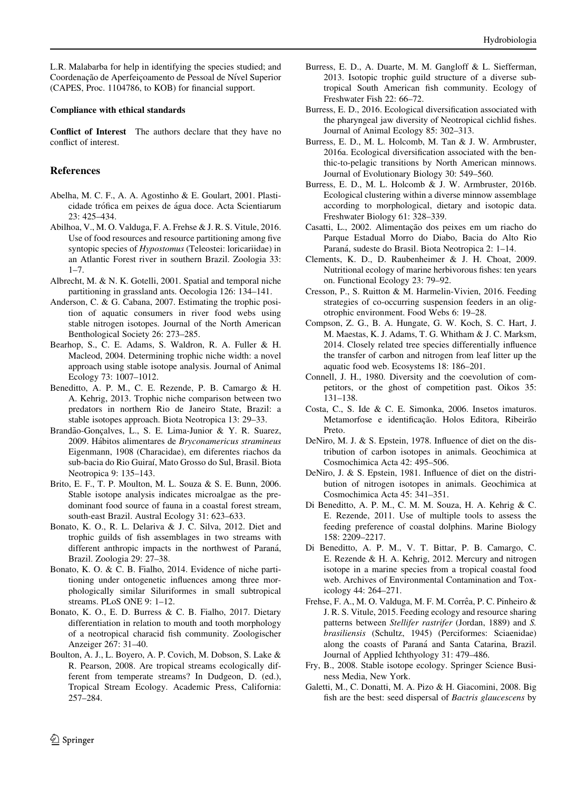<span id="page-11-0"></span>L.R. Malabarba for help in identifying the species studied; and Coordenação de Aperfeiçoamento de Pessoal de Nível Superior (CAPES, Proc. 1104786, to KOB) for financial support.

#### Compliance with ethical standards

Conflict of Interest The authors declare that they have no conflict of interest.

## References

- Abelha, M. C. F., A. A. Agostinho & E. Goulart, 2001. Plasticidade trófica em peixes de água doce. Acta Scientiarum 23: 425–434.
- Abilhoa, V., M. O. Valduga, F. A. Frehse & J. R. S. Vitule, 2016. Use of food resources and resource partitioning among five syntopic species of Hypostomus (Teleostei: loricariidae) in an Atlantic Forest river in southern Brazil. Zoologia 33:  $1 - 7$ .
- Albrecht, M. & N. K. Gotelli, 2001. Spatial and temporal niche partitioning in grassland ants. Oecologia 126: 134–141.
- Anderson, C. & G. Cabana, 2007. Estimating the trophic position of aquatic consumers in river food webs using stable nitrogen isotopes. Journal of the North American Benthological Society 26: 273–285.
- Bearhop, S., C. E. Adams, S. Waldron, R. A. Fuller & H. Macleod, 2004. Determining trophic niche width: a novel approach using stable isotope analysis. Journal of Animal Ecology 73: 1007–1012.
- Beneditto, A. P. M., C. E. Rezende, P. B. Camargo & H. A. Kehrig, 2013. Trophic niche comparison between two predators in northern Rio de Janeiro State, Brazil: a stable isotopes approach. Biota Neotropica 13: 29–33.
- Brandão-Gonçalves, L., S. E. Lima-Junior & Y. R. Suarez, 2009. Hábitos alimentares de Bryconamericus stramineus Eigenmann, 1908 (Characidae), em diferentes riachos da sub-bacia do Rio Guiraı´, Mato Grosso do Sul, Brasil. Biota Neotropica 9: 135–143.
- Brito, E. F., T. P. Moulton, M. L. Souza & S. E. Bunn, 2006. Stable isotope analysis indicates microalgae as the predominant food source of fauna in a coastal forest stream, south-east Brazil. Austral Ecology 31: 623–633.
- Bonato, K. O., R. L. Delariva & J. C. Silva, 2012. Diet and trophic guilds of fish assemblages in two streams with different anthropic impacts in the northwest of Paraná, Brazil. Zoologia 29: 27–38.
- Bonato, K. O. & C. B. Fialho, 2014. Evidence of niche partitioning under ontogenetic influences among three morphologically similar Siluriformes in small subtropical streams. PLoS ONE 9: 1–12.
- Bonato, K. O., E. D. Burress & C. B. Fialho, 2017. Dietary differentiation in relation to mouth and tooth morphology of a neotropical characid fish community. Zoologischer Anzeiger 267: 31–40.
- Boulton, A. J., L. Boyero, A. P. Covich, M. Dobson, S. Lake & R. Pearson, 2008. Are tropical streams ecologically different from temperate streams? In Dudgeon, D. (ed.), Tropical Stream Ecology. Academic Press, California: 257–284.
- Burress, E. D., A. Duarte, M. M. Gangloff & L. Siefferman, 2013. Isotopic trophic guild structure of a diverse subtropical South American fish community. Ecology of Freshwater Fish 22: 66–72.
- Burress, E. D., 2016. Ecological diversification associated with the pharyngeal jaw diversity of Neotropical cichlid fishes. Journal of Animal Ecology 85: 302–313.
- Burress, E. D., M. L. Holcomb, M. Tan & J. W. Armbruster, 2016a. Ecological diversification associated with the benthic-to-pelagic transitions by North American minnows. Journal of Evolutionary Biology 30: 549–560.
- Burress, E. D., M. L. Holcomb & J. W. Armbruster, 2016b. Ecological clustering within a diverse minnow assemblage according to morphological, dietary and isotopic data. Freshwater Biology 61: 328–339.
- Casatti, L., 2002. Alimentação dos peixes em um riacho do Parque Estadual Morro do Diabo, Bacia do Alto Rio Paraná, sudeste do Brasil. Biota Neotropica 2: 1-14.
- Clements, K. D., D. Raubenheimer & J. H. Choat, 2009. Nutritional ecology of marine herbivorous fishes: ten years on. Functional Ecology 23: 79–92.
- Cresson, P., S. Ruitton & M. Harmelin-Vivien, 2016. Feeding strategies of co-occurring suspension feeders in an oligotrophic environment. Food Webs 6: 19–28.
- Compson, Z. G., B. A. Hungate, G. W. Koch, S. C. Hart, J. M. Maestas, K. J. Adams, T. G. Whitham & J. C. Marksm, 2014. Closely related tree species differentially influence the transfer of carbon and nitrogen from leaf litter up the aquatic food web. Ecosystems 18: 186–201.
- Connell, J. H., 1980. Diversity and the coevolution of competitors, or the ghost of competition past. Oikos 35: 131–138.
- Costa, C., S. Ide & C. E. Simonka, 2006. Insetos imaturos. Metamorfose e identificação. Holos Editora, Ribeirão Preto.
- DeNiro, M. J. & S. Epstein, 1978. Influence of diet on the distribution of carbon isotopes in animals. Geochimica at Cosmochimica Acta 42: 495–506.
- DeNiro, J. & S. Epstein, 1981. Influence of diet on the distribution of nitrogen isotopes in animals. Geochimica at Cosmochimica Acta 45: 341–351.
- Di Beneditto, A. P. M., C. M. M. Souza, H. A. Kehrig & C. E. Rezende, 2011. Use of multiple tools to assess the feeding preference of coastal dolphins. Marine Biology 158: 2209–2217.
- Di Beneditto, A. P. M., V. T. Bittar, P. B. Camargo, C. E. Rezende & H. A. Kehrig, 2012. Mercury and nitrogen isotope in a marine species from a tropical coastal food web. Archives of Environmental Contamination and Toxicology 44: 264–271.
- Frehse, F. A., M. O. Valduga, M. F. M. Corrêa, P. C. Pinheiro & J. R. S. Vitule, 2015. Feeding ecology and resource sharing patterns between Stellifer rastrifer (Jordan, 1889) and S. brasiliensis (Schultz, 1945) (Perciformes: Sciaenidae) along the coasts of Paraná and Santa Catarina, Brazil. Journal of Applied Ichthyology 31: 479–486.
- Fry, B., 2008. Stable isotope ecology. Springer Science Business Media, New York.
- Galetti, M., C. Donatti, M. A. Pizo & H. Giacomini, 2008. Big fish are the best: seed dispersal of Bactris glaucescens by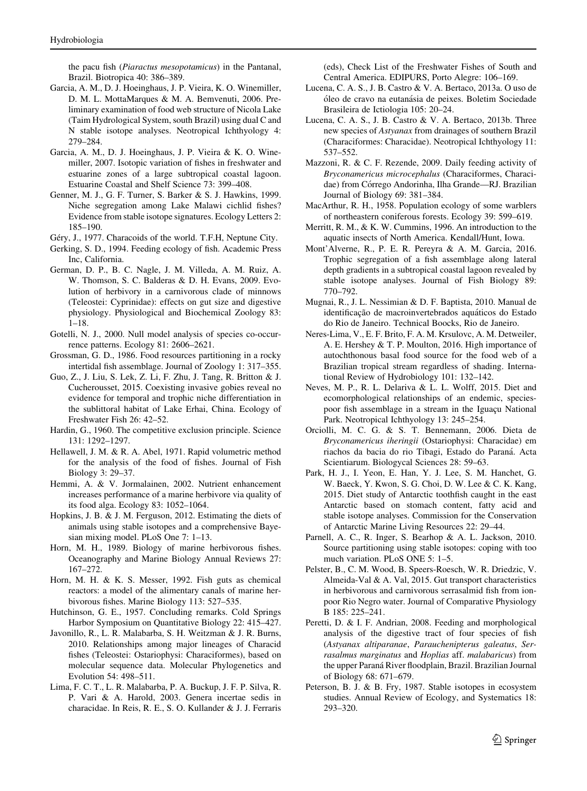<span id="page-12-0"></span>the pacu fish (Piaractus mesopotamicus) in the Pantanal, Brazil. Biotropica 40: 386–389.

- Garcia, A. M., D. J. Hoeinghaus, J. P. Vieira, K. O. Winemiller, D. M. L. MottaMarques & M. A. Bemvenuti, 2006. Preliminary examination of food web structure of Nicola Lake (Taim Hydrological System, south Brazil) using dual C and N stable isotope analyses. Neotropical Ichthyology 4: 279–284.
- Garcia, A. M., D. J. Hoeinghaus, J. P. Vieira & K. O. Winemiller, 2007. Isotopic variation of fishes in freshwater and estuarine zones of a large subtropical coastal lagoon. Estuarine Coastal and Shelf Science 73: 399–408.
- Genner, M. J., G. F. Turner, S. Barker & S. J. Hawkins, 1999. Niche segregation among Lake Malawi cichlid fishes? Evidence from stable isotope signatures. Ecology Letters 2: 185–190.
- Géry, J., 1977. Characoids of the world. T.F.H, Neptune City.
- Gerking, S. D., 1994. Feeding ecology of fish. Academic Press Inc, California.
- German, D. P., B. C. Nagle, J. M. Villeda, A. M. Ruiz, A. W. Thomson, S. C. Balderas & D. H. Evans, 2009. Evolution of herbivory in a carnivorous clade of minnows (Teleostei: Cyprinidae): effects on gut size and digestive physiology. Physiological and Biochemical Zoology 83: 1–18.
- Gotelli, N. J., 2000. Null model analysis of species co-occurrence patterns. Ecology 81: 2606–2621.
- Grossman, G. D., 1986. Food resources partitioning in a rocky intertidal fish assemblage. Journal of Zoology 1: 317–355.
- Guo, Z., J. Liu, S. Lek, Z. Li, F. Zhu, J. Tang, R. Britton & J. Cucherousset, 2015. Coexisting invasive gobies reveal no evidence for temporal and trophic niche differentiation in the sublittoral habitat of Lake Erhai, China. Ecology of Freshwater Fish 26: 42–52.
- Hardin, G., 1960. The competitive exclusion principle. Science 131: 1292–1297.
- Hellawell, J. M. & R. A. Abel, 1971. Rapid volumetric method for the analysis of the food of fishes. Journal of Fish Biology 3: 29–37.
- Hemmi, A. & V. Jormalainen, 2002. Nutrient enhancement increases performance of a marine herbivore via quality of its food alga. Ecology 83: 1052–1064.
- Hopkins, J. B. & J. M. Ferguson, 2012. Estimating the diets of animals using stable isotopes and a comprehensive Bayesian mixing model. PLoS One 7: 1–13.
- Horn, M. H., 1989. Biology of marine herbivorous fishes. Oceanography and Marine Biology Annual Reviews 27: 167–272.
- Horn, M. H. & K. S. Messer, 1992. Fish guts as chemical reactors: a model of the alimentary canals of marine herbivorous fishes. Marine Biology 113: 527–535.
- Hutchinson, G. E., 1957. Concluding remarks. Cold Springs Harbor Symposium on Quantitative Biology 22: 415–427.
- Javonillo, R., L. R. Malabarba, S. H. Weitzman & J. R. Burns, 2010. Relationships among major lineages of Characid fishes (Teleostei: Ostariophysi: Characiformes), based on molecular sequence data. Molecular Phylogenetics and Evolution 54: 498–511.
- Lima, F. C. T., L. R. Malabarba, P. A. Buckup, J. F. P. Silva, R. P. Vari & A. Harold, 2003. Genera incertae sedis in characidae. In Reis, R. E., S. O. Kullander & J. J. Ferraris

(eds), Check List of the Freshwater Fishes of South and Central America. EDIPURS, Porto Alegre: 106–169.

- Lucena, C. A. S., J. B. Castro & V. A. Bertaco, 2013a. O uso de óleo de cravo na eutanásia de peixes. Boletim Sociedade Brasileira de Ictiologia 105: 20–24.
- Lucena, C. A. S., J. B. Castro & V. A. Bertaco, 2013b. Three new species of Astyanax from drainages of southern Brazil (Characiformes: Characidae). Neotropical Ichthyology 11: 537–552.
- Mazzoni, R. & C. F. Rezende, 2009. Daily feeding activity of Bryconamericus microcephalus (Characiformes, Characidae) from Córrego Andorinha, Ilha Grande—RJ. Brazilian Journal of Biology 69: 381–384.
- MacArthur, R. H., 1958. Population ecology of some warblers of northeastern coniferous forests. Ecology 39: 599–619.
- Merritt, R. M., & K. W. Cummins, 1996. An introduction to the aquatic insects of North America. Kendall/Hunt, Iowa.
- Mont'Alverne, R., P. E. R. Pereyra & A. M. Garcia, 2016. Trophic segregation of a fish assemblage along lateral depth gradients in a subtropical coastal lagoon revealed by stable isotope analyses. Journal of Fish Biology 89: 770–792.
- Mugnai, R., J. L. Nessimian & D. F. Baptista, 2010. Manual de identificação de macroinvertebrados aquáticos do Estado do Rio de Janeiro. Technical Boocks, Rio de Janeiro.
- Neres-Lima, V., E. F. Brito, F. A. M. Krsulovc, A. M. Detweiler, A. E. Hershey & T. P. Moulton, 2016. High importance of autochthonous basal food source for the food web of a Brazilian tropical stream regardless of shading. International Review of Hydrobiology 101: 132–142.
- Neves, M. P., R. L. Delariva & L. L. Wolff, 2015. Diet and ecomorphological relationships of an endemic, speciespoor fish assemblage in a stream in the Iguacu National Park. Neotropical Ichthyology 13: 245–254.
- Orciolli, M. C. G. & S. T. Bennemann, 2006. Dieta de Bryconamericus iheringii (Ostariophysi: Characidae) em riachos da bacia do rio Tibagi, Estado do Paraná. Acta Scientiarum. Biologycal Sciences 28: 59–63.
- Park, H. J., I. Yeon, E. Han, Y. J. Lee, S. M. Hanchet, G. W. Baeck, Y. Kwon, S. G. Choi, D. W. Lee & C. K. Kang, 2015. Diet study of Antarctic toothfish caught in the east Antarctic based on stomach content, fatty acid and stable isotope analyses. Commission for the Conservation of Antarctic Marine Living Resources 22: 29–44.
- Parnell, A. C., R. Inger, S. Bearhop & A. L. Jackson, 2010. Source partitioning using stable isotopes: coping with too much variation. PLoS ONE 5: 1–5.
- Pelster, B., C. M. Wood, B. Speers-Roesch, W. R. Driedzic, V. Almeida-Val & A. Val, 2015. Gut transport characteristics in herbivorous and carnivorous serrasalmid fish from ionpoor Rio Negro water. Journal of Comparative Physiology B 185: 225–241.
- Peretti, D. & I. F. Andrian, 2008. Feeding and morphological analysis of the digestive tract of four species of fish (Astyanax altiparanae, Parauchenipterus galeatus, Serrasalmus marginatus and Hoplias aff. malabaricus) from the upper Paraná River floodplain, Brazil. Brazilian Journal of Biology 68: 671–679.
- Peterson, B. J. & B. Fry, 1987. Stable isotopes in ecosystem studies. Annual Review of Ecology, and Systematics 18: 293–320.